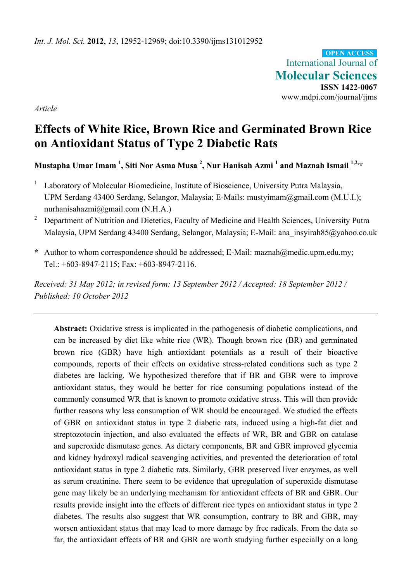International Journal of **Molecular Sciences ISSN 1422-0067**  www.mdpi.com/journal/ijms **OPEN ACCESS**

*Article* 

# **Effects of White Rice, Brown Rice and Germinated Brown Rice on Antioxidant Status of Type 2 Diabetic Rats**

**Mustapha Umar Imam <sup>1</sup> , Siti Nor Asma Musa 2 , Nur Hanisah Azmi 1 and Maznah Ismail 1,2,\*** 

- 1 Laboratory of Molecular Biomedicine, Institute of Bioscience, University Putra Malaysia, UPM Serdang 43400 Serdang, Selangor, Malaysia; E-Mails: mustyimam@gmail.com (M.U.I.); nurhanisahazmi@gmail.com (N.H.A.)
- <sup>2</sup> Department of Nutrition and Dietetics, Faculty of Medicine and Health Sciences, University Putra Malaysia, UPM Serdang 43400 Serdang, Selangor, Malaysia; E-Mail: ana\_insyirah85@yahoo.co.uk
- **\*** Author to whom correspondence should be addressed; E-Mail: maznah@medic.upm.edu.my; Tel.: +603-8947-2115; Fax: +603-8947-2116.

*Received: 31 May 2012; in revised form: 13 September 2012 / Accepted: 18 September 2012 / Published: 10 October 2012* 

**Abstract:** Oxidative stress is implicated in the pathogenesis of diabetic complications, and can be increased by diet like white rice (WR). Though brown rice (BR) and germinated brown rice (GBR) have high antioxidant potentials as a result of their bioactive compounds, reports of their effects on oxidative stress-related conditions such as type 2 diabetes are lacking. We hypothesized therefore that if BR and GBR were to improve antioxidant status, they would be better for rice consuming populations instead of the commonly consumed WR that is known to promote oxidative stress. This will then provide further reasons why less consumption of WR should be encouraged. We studied the effects of GBR on antioxidant status in type 2 diabetic rats, induced using a high-fat diet and streptozotocin injection, and also evaluated the effects of WR, BR and GBR on catalase and superoxide dismutase genes. As dietary components, BR and GBR improved glycemia and kidney hydroxyl radical scavenging activities, and prevented the deterioration of total antioxidant status in type 2 diabetic rats. Similarly, GBR preserved liver enzymes, as well as serum creatinine. There seem to be evidence that upregulation of superoxide dismutase gene may likely be an underlying mechanism for antioxidant effects of BR and GBR. Our results provide insight into the effects of different rice types on antioxidant status in type 2 diabetes. The results also suggest that WR consumption, contrary to BR and GBR, may worsen antioxidant status that may lead to more damage by free radicals. From the data so far, the antioxidant effects of BR and GBR are worth studying further especially on a long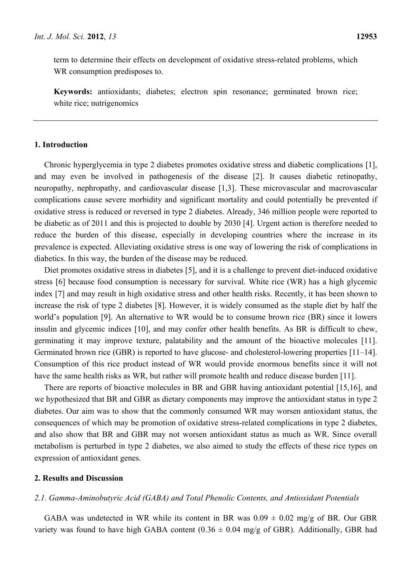term to determine their effects on development of oxidative stress-related problems, which WR consumption predisposes to.

**Keywords:** antioxidants; diabetes; electron spin resonance; germinated brown rice; white rice; nutrigenomics

# **1. Introduction**

Chronic hyperglycemia in type 2 diabetes promotes oxidative stress and diabetic complications [1], and may even be involved in pathogenesis of the disease [2]. It causes diabetic retinopathy, neuropathy, nephropathy, and cardiovascular disease [1,3]. These microvascular and macrovascular complications cause severe morbidity and significant mortality and could potentially be prevented if oxidative stress is reduced or reversed in type 2 diabetes. Already, 346 million people were reported to be diabetic as of 2011 and this is projected to double by 2030 [4]. Urgent action is therefore needed to reduce the burden of this disease, especially in developing countries where the increase in its prevalence is expected. Alleviating oxidative stress is one way of lowering the risk of complications in diabetics. In this way, the burden of the disease may be reduced.

Diet promotes oxidative stress in diabetes [5], and it is a challenge to prevent diet-induced oxidative stress [6] because food consumption is necessary for survival. White rice (WR) has a high glycemic index [7] and may result in high oxidative stress and other health risks. Recently, it has been shown to increase the risk of type 2 diabetes [8]. However, it is widely consumed as the staple diet by half the world's population [9]. An alternative to WR would be to consume brown rice (BR) since it lowers insulin and glycemic indices [10], and may confer other health benefits. As BR is difficult to chew, germinating it may improve texture, palatability and the amount of the bioactive molecules [11]. Germinated brown rice (GBR) is reported to have glucose- and cholesterol-lowering properties [11–14]. Consumption of this rice product instead of WR would provide enormous benefits since it will not have the same health risks as WR, but rather will promote health and reduce disease burden [11].

There are reports of bioactive molecules in BR and GBR having antioxidant potential [15,16], and we hypothesized that BR and GBR as dietary components may improve the antioxidant status in type 2 diabetes. Our aim was to show that the commonly consumed WR may worsen antioxidant status, the consequences of which may be promotion of oxidative stress-related complications in type 2 diabetes, and also show that BR and GBR may not worsen antioxidant status as much as WR. Since overall metabolism is perturbed in type 2 diabetes, we also aimed to study the effects of these rice types on expression of antioxidant genes.

#### **2. Results and Discussion**

#### *2.1. Gamma-Aminobutyric Acid (GABA) and Total Phenolic Contents, and Antioxidant Potentials*

GABA was undetected in WR while its content in BR was  $0.09 \pm 0.02$  mg/g of BR. Our GBR variety was found to have high GABA content  $(0.36 \pm 0.04 \text{ mg/g of GBR})$ . Additionally, GBR had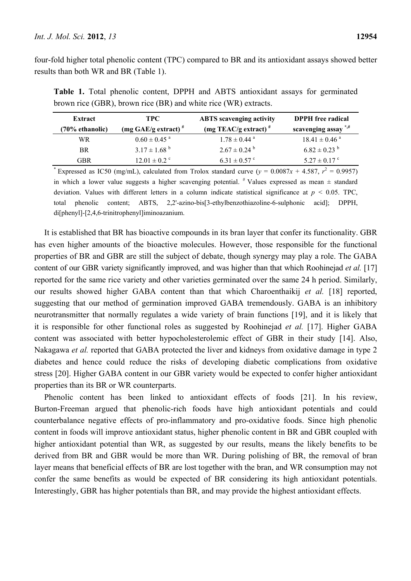four-fold higher total phenolic content (TPC) compared to BR and its antioxidant assays showed better results than both WR and BR (Table 1).

| Extract            | TPC.                         | <b>ABTS</b> scavenging activity | <b>DPPH</b> free radical        |
|--------------------|------------------------------|---------------------------------|---------------------------------|
| $(70\%$ ethanolic) | (mg GAE/g extract) $*$       | (mg TEAC/g extract) $#$         | scavenging assay <sup>*,#</sup> |
| WR.                | $0.60 \pm 0.45$ <sup>a</sup> | $1.78 \pm 0.44$ <sup>a</sup>    | $18.41 \pm 0.46$ <sup>a</sup>   |
| <b>BR</b>          | $3.17 \pm 1.68$ <sup>b</sup> | $2.67 \pm 0.24$ <sup>b</sup>    | $6.82 \pm 0.23$ <sup>b</sup>    |
| GBR                | $12.01 \pm 0.2$ <sup>c</sup> | $6.31 \pm 0.57$ °               | $5.27 \pm 0.17$ °               |
|                    |                              |                                 |                                 |

**Table 1.** Total phenolic content, DPPH and ABTS antioxidant assays for germinated brown rice (GBR), brown rice (BR) and white rice (WR) extracts.

\* Expressed as IC50 (mg/mL), calculated from Trolox standard curve ( $y = 0.0087x + 4.587$ ,  $r^2 = 0.9957$ ) in which a lower value suggests a higher scavenging potential.  $*$  Values expressed as mean  $\pm$  standard deviation. Values with different letters in a column indicate statistical significance at *p* < 0.05. TPC, total phenolic content; ABTS, 2,2'-azino-bis[3-ethylbenzothiazoline-6-sulphonic acid]; DPPH, di[phenyl]-[2,4,6-trinitrophenyl]iminoazanium.

It is established that BR has bioactive compounds in its bran layer that confer its functionality. GBR has even higher amounts of the bioactive molecules. However, those responsible for the functional properties of BR and GBR are still the subject of debate, though synergy may play a role. The GABA content of our GBR variety significantly improved, and was higher than that which Roohinejad *et al.* [17] reported for the same rice variety and other varieties germinated over the same 24 h period. Similarly, our results showed higher GABA content than that which Charoenthaikij *et al.* [18] reported, suggesting that our method of germination improved GABA tremendously. GABA is an inhibitory neurotransmitter that normally regulates a wide variety of brain functions [19], and it is likely that it is responsible for other functional roles as suggested by Roohinejad *et al.* [17]. Higher GABA content was associated with better hypocholesterolemic effect of GBR in their study [14]. Also, Nakagawa *et al.* reported that GABA protected the liver and kidneys from oxidative damage in type 2 diabetes and hence could reduce the risks of developing diabetic complications from oxidative stress [20]. Higher GABA content in our GBR variety would be expected to confer higher antioxidant properties than its BR or WR counterparts.

Phenolic content has been linked to antioxidant effects of foods [21]. In his review, Burton-Freeman argued that phenolic-rich foods have high antioxidant potentials and could counterbalance negative effects of pro-inflammatory and pro-oxidative foods. Since high phenolic content in foods will improve antioxidant status, higher phenolic content in BR and GBR coupled with higher antioxidant potential than WR, as suggested by our results, means the likely benefits to be derived from BR and GBR would be more than WR. During polishing of BR, the removal of bran layer means that beneficial effects of BR are lost together with the bran, and WR consumption may not confer the same benefits as would be expected of BR considering its high antioxidant potentials. Interestingly, GBR has higher potentials than BR, and may provide the highest antioxidant effects.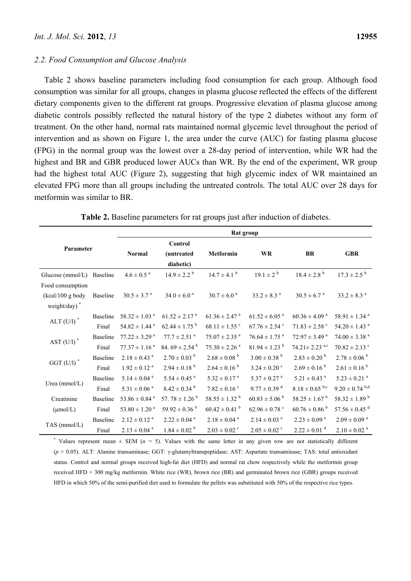#### *2.2. Food Consumption and Glucose Analysis*

Table 2 shows baseline parameters including food consumption for each group. Although food consumption was similar for all groups, changes in plasma glucose reflected the effects of the different dietary components given to the different rat groups. Progressive elevation of plasma glucose among diabetic controls possibly reflected the natural history of the type 2 diabetes without any form of treatment. On the other hand, normal rats maintained normal glycemic level throughout the period of intervention and as shown on Figure 1, the area under the curve (AUC) for fasting plasma glucose (FPG) in the normal group was the lowest over a 28-day period of intervention, while WR had the highest and BR and GBR produced lower AUCs than WR. By the end of the experiment, WR group had the highest total AUC (Figure 2), suggesting that high glycemic index of WR maintained an elevated FPG more than all groups including the untreated controls. The total AUC over 28 days for metformin was similar to BR.

|                          |                 | Rat group                     |                               |                               |                               |                                 |                               |
|--------------------------|-----------------|-------------------------------|-------------------------------|-------------------------------|-------------------------------|---------------------------------|-------------------------------|
| Parameter                |                 |                               | Control                       |                               |                               |                                 |                               |
|                          |                 | Normal                        | (untreated                    | Metformin                     | <b>WR</b>                     | BR                              | <b>GBR</b>                    |
|                          |                 |                               | diabetic)                     |                               |                               |                                 |                               |
| Glucose (mmol/L)         | Baseline        | $4.6 \pm 0.5$ <sup>a</sup>    | $14.9 \pm 2.2^{b}$            | $14.7 \pm 4.1$ <sup>b</sup>   | $19.1 \pm 2^{b}$              | $18.4 \pm 2.8$ <sup>b</sup>     | $17.3 \pm 2.5$ <sup>b</sup>   |
| Food consumption         |                 |                               |                               |                               |                               |                                 |                               |
| $(kcal/100 g$ body       | Baseline        | $30.5 \pm 3.7$ <sup>a</sup>   | $34.0 \pm 6.0$ <sup>a</sup>   | $30.7 \pm 6.0$ <sup>a</sup>   | $33.2 \pm 8.3$ <sup>a</sup>   | $30.5 \pm 6.7$ <sup>a</sup>     | $33.2\pm8.3$ $^{\rm a}$       |
| weight/day) <sup>*</sup> |                 |                               |                               |                               |                               |                                 |                               |
| ALT ${\rm (U/l)}$ $^*$   | <b>Baseline</b> | $58.32 \pm 1.03$ <sup>a</sup> | $61.52 \pm 2.17$ <sup>a</sup> | $61.36 \pm 2.47$ <sup>a</sup> | $61.52 \pm 6.05$ <sup>a</sup> | $60.36 \pm 4.09$ <sup>a</sup>   | $58.91 \pm 1.34$ <sup>a</sup> |
|                          | Final           | $54.82 \pm 1.44$ <sup>a</sup> | $62.44 \pm 1.75$ <sup>b</sup> | $68.11 \pm 1.55$ <sup>c</sup> | $67.76 \pm 2.54$ <sup>c</sup> | $71.83 \pm 2.58$ <sup>c</sup>   | $54.20 \pm 1.43$ <sup>a</sup> |
| AST $(U/I)$ <sup>*</sup> | <b>Baseline</b> | $77.22 \pm 3.29$ <sup>a</sup> | $77.7 \pm 2.51$ <sup>a</sup>  | $75.07 \pm 2.35$ <sup>a</sup> | $76.64 \pm 1.75$ <sup>a</sup> | $72.97 \pm 3.49$ <sup>a</sup>   | $74.00 \pm 3.38$ <sup>a</sup> |
|                          | Final           | $77.37 \pm 1.16$ <sup>a</sup> | 84. $69 \pm 2.54^{\text{b}}$  | $75.30 \pm 2.26$ <sup>a</sup> | $81.94 \pm 1.23$ <sup>b</sup> | $74.21 \pm 2.23$ <sup>a,c</sup> | $70.82 \pm 2.13$ <sup>c</sup> |
| $GGT$ (U/l) <sup>*</sup> | Baseline        | $2.18 \pm 0.43$ <sup>a</sup>  | $2.70 \pm 0.03$ <sup>b</sup>  | $2.68 \pm 0.08$ <sup>b</sup>  | $3.00 \pm 0.38$ <sup>b</sup>  | $2.83 \pm 0.20$ <sup>b</sup>    | $2.78 \pm 0.06^{b}$           |
|                          | Final           | $1.92 \pm 0.12$ <sup>a</sup>  | $2.94 \pm 0.18^{b}$           | $2.64 \pm 0.16^{b}$           | $3.24 \pm 0.20$ °             | $2.69 \pm 0.16^{b}$             | $2.61 \pm 0.16^{b}$           |
| Urea (mmol/L)            | Baseline        | $5.14 \pm 0.04$ <sup>a</sup>  | $5.54 \pm 0.45$ <sup>a</sup>  | $5.32 \pm 0.17$ <sup>a</sup>  | $5.37 \pm 0.27$ <sup>a</sup>  | $5.21 \pm 0.43$ <sup>a</sup>    | $5.23 \pm 0.21$ <sup>a</sup>  |
|                          | Final           | $5.31 \pm 0.06$ <sup>a</sup>  | $8.42 \pm 0.34$ <sup>b</sup>  | $7.82 \pm 0.16$ °             | $9.77 \pm 0.39$ <sup>d</sup>  | $8.18 \pm 0.65$ b,c             | $9.20 \pm 0.74$ b,d           |
| Creatinine               | Baseline        | 53.86 $\pm$ 0.84 $^{a}$       | 57.78 $\pm$ 1.26 <sup>b</sup> | $58.55 \pm 1.32$ <sup>b</sup> | $60.83 \pm 5.06^{\mathrm{b}}$ | $58.25 \pm 1.67$ <sup>b</sup>   | $58.32 \pm 1.89$ <sup>b</sup> |
| $(\mu \text{mol/L})$     | Final           | $53.80 \pm 1.20$ <sup>a</sup> | 59.92 $\pm$ 0.36 $^{\rm b}$   | $60.42 \pm 0.41$ <sup>b</sup> | $62.96 \pm 0.78$ <sup>c</sup> | $60.76 \pm 0.86^{\mathrm{b}}$   | $57.56 \pm 0.45$ <sup>d</sup> |
| TAS (mmol/L)             | Baseline        | $2.12 \pm 0.12$ <sup>a</sup>  | $2.22\pm0.04$ $^{\rm a}$      | $2.18 \pm 0.04$ <sup>a</sup>  | $2.14 \pm 0.03$ <sup>a</sup>  | $2.23 \pm 0.09$ <sup>a</sup>    | $2.09\pm0.09$ $^{\rm a}$      |
|                          | Final           | $2.13 \pm 0.04$ <sup>a</sup>  | $1.84 \pm 0.02$ <sup>b</sup>  | $2.03 \pm 0.02$ <sup>c</sup>  | $2.05 \pm 0.02$ <sup>c</sup>  | $2.22 \pm 0.01$ <sup>d</sup>    | $2.10 \pm 0.02$ <sup>a</sup>  |

**Table 2.** Baseline parameters for rat groups just after induction of diabetes.

\* Values represent mean  $\pm$  SEM ( $n = 5$ ). Values with the same letter in any given row are not statistically different (*p* > 0.05). ALT: Alanine transaminase; GGT: γ-glutamyltranspeptidase; AST: Aspartate transaminase; TAS: total antioxidant status. Control and normal groups received high-fat diet (HFD) and normal rat chow respectively while the metformin group received HFD + 300 mg/kg metformin. White rice (WR), brown rice (BR) and germinated brown rice (GBR) groups received HFD in which 50% of the semi-purified diet used to formulate the pellets was substituted with 50% of the respective rice types.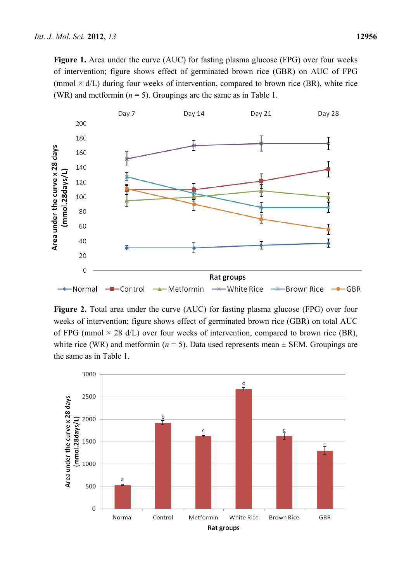Figure 1. Area under the curve (AUC) for fasting plasma glucose (FPG) over four weeks of intervention; figure shows effect of germinated brown rice (GBR) on AUC of FPG (mmol  $\times$  d/L) during four weeks of intervention, compared to brown rice (BR), white rice (WR) and metformin  $(n = 5)$ . Groupings are the same as in Table 1.



**Figure 2.** Total area under the curve (AUC) for fasting plasma glucose (FPG) over four weeks of intervention; figure shows effect of germinated brown rice (GBR) on total AUC of FPG (mmol  $\times$  28 d/L) over four weeks of intervention, compared to brown rice (BR), white rice (WR) and metformin ( $n = 5$ ). Data used represents mean  $\pm$  SEM. Groupings are the same as in Table 1.

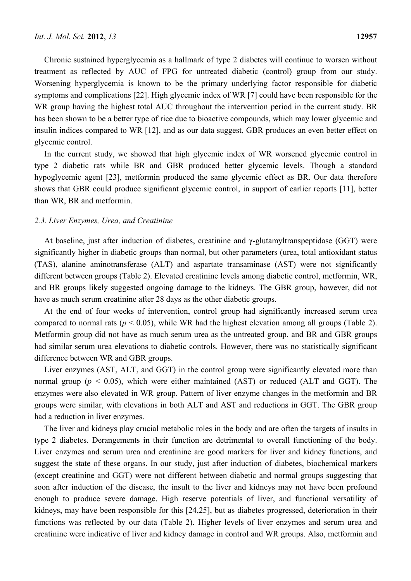Chronic sustained hyperglycemia as a hallmark of type 2 diabetes will continue to worsen without treatment as reflected by AUC of FPG for untreated diabetic (control) group from our study. Worsening hyperglycemia is known to be the primary underlying factor responsible for diabetic symptoms and complications [22]. High glycemic index of WR [7] could have been responsible for the WR group having the highest total AUC throughout the intervention period in the current study. BR has been shown to be a better type of rice due to bioactive compounds, which may lower glycemic and insulin indices compared to WR [12], and as our data suggest, GBR produces an even better effect on glycemic control.

In the current study, we showed that high glycemic index of WR worsened glycemic control in type 2 diabetic rats while BR and GBR produced better glycemic levels. Though a standard hypoglycemic agent [23], metformin produced the same glycemic effect as BR. Our data therefore shows that GBR could produce significant glycemic control, in support of earlier reports [11], better than WR, BR and metformin.

#### *2.3. Liver Enzymes, Urea, and Creatinine*

At baseline, just after induction of diabetes, creatinine and γ-glutamyltranspeptidase (GGT) were significantly higher in diabetic groups than normal, but other parameters (urea, total antioxidant status (TAS), alanine aminotransferase (ALT) and aspartate transaminase (AST) were not significantly different between groups (Table 2). Elevated creatinine levels among diabetic control, metformin, WR, and BR groups likely suggested ongoing damage to the kidneys. The GBR group, however, did not have as much serum creatinine after 28 days as the other diabetic groups.

At the end of four weeks of intervention, control group had significantly increased serum urea compared to normal rats ( $p < 0.05$ ), while WR had the highest elevation among all groups (Table 2). Metformin group did not have as much serum urea as the untreated group, and BR and GBR groups had similar serum urea elevations to diabetic controls. However, there was no statistically significant difference between WR and GBR groups.

Liver enzymes (AST, ALT, and GGT) in the control group were significantly elevated more than normal group ( $p < 0.05$ ), which were either maintained (AST) or reduced (ALT and GGT). The enzymes were also elevated in WR group. Pattern of liver enzyme changes in the metformin and BR groups were similar, with elevations in both ALT and AST and reductions in GGT. The GBR group had a reduction in liver enzymes.

The liver and kidneys play crucial metabolic roles in the body and are often the targets of insults in type 2 diabetes. Derangements in their function are detrimental to overall functioning of the body. Liver enzymes and serum urea and creatinine are good markers for liver and kidney functions, and suggest the state of these organs. In our study, just after induction of diabetes, biochemical markers (except creatinine and GGT) were not different between diabetic and normal groups suggesting that soon after induction of the disease, the insult to the liver and kidneys may not have been profound enough to produce severe damage. High reserve potentials of liver, and functional versatility of kidneys, may have been responsible for this [24,25], but as diabetes progressed, deterioration in their functions was reflected by our data (Table 2). Higher levels of liver enzymes and serum urea and creatinine were indicative of liver and kidney damage in control and WR groups. Also, metformin and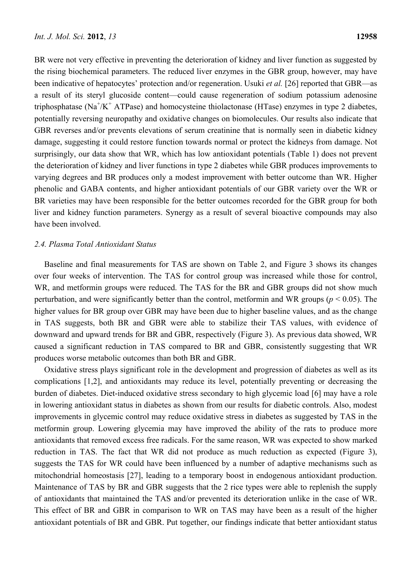BR were not very effective in preventing the deterioration of kidney and liver function as suggested by the rising biochemical parameters. The reduced liver enzymes in the GBR group, however, may have been indicative of hepatocytes' protection and/or regeneration. Usuki *et al.* [26] reported that GBR—as a result of its steryl glucoside content—could cause regeneration of sodium potassium adenosine triphosphatase ( $Na^{+}/K^{+}$  ATPase) and homocysteine thiolactonase (HTase) enzymes in type 2 diabetes, potentially reversing neuropathy and oxidative changes on biomolecules. Our results also indicate that GBR reverses and/or prevents elevations of serum creatinine that is normally seen in diabetic kidney damage, suggesting it could restore function towards normal or protect the kidneys from damage. Not surprisingly, our data show that WR, which has low antioxidant potentials (Table 1) does not prevent the deterioration of kidney and liver functions in type 2 diabetes while GBR produces improvements to varying degrees and BR produces only a modest improvement with better outcome than WR. Higher phenolic and GABA contents, and higher antioxidant potentials of our GBR variety over the WR or BR varieties may have been responsible for the better outcomes recorded for the GBR group for both liver and kidney function parameters. Synergy as a result of several bioactive compounds may also have been involved.

### *2.4. Plasma Total Antioxidant Status*

Baseline and final measurements for TAS are shown on Table 2, and Figure 3 shows its changes over four weeks of intervention. The TAS for control group was increased while those for control, WR, and metformin groups were reduced. The TAS for the BR and GBR groups did not show much perturbation, and were significantly better than the control, metformin and WR groups ( $p < 0.05$ ). The higher values for BR group over GBR may have been due to higher baseline values, and as the change in TAS suggests, both BR and GBR were able to stabilize their TAS values, with evidence of downward and upward trends for BR and GBR, respectively (Figure 3). As previous data showed, WR caused a significant reduction in TAS compared to BR and GBR, consistently suggesting that WR produces worse metabolic outcomes than both BR and GBR.

Oxidative stress plays significant role in the development and progression of diabetes as well as its complications [1,2], and antioxidants may reduce its level, potentially preventing or decreasing the burden of diabetes. Diet-induced oxidative stress secondary to high glycemic load [6] may have a role in lowering antioxidant status in diabetes as shown from our results for diabetic controls. Also, modest improvements in glycemic control may reduce oxidative stress in diabetes as suggested by TAS in the metformin group. Lowering glycemia may have improved the ability of the rats to produce more antioxidants that removed excess free radicals. For the same reason, WR was expected to show marked reduction in TAS. The fact that WR did not produce as much reduction as expected (Figure 3), suggests the TAS for WR could have been influenced by a number of adaptive mechanisms such as mitochondrial homeostasis [27], leading to a temporary boost in endogenous antioxidant production. Maintenance of TAS by BR and GBR suggests that the 2 rice types were able to replenish the supply of antioxidants that maintained the TAS and/or prevented its deterioration unlike in the case of WR. This effect of BR and GBR in comparison to WR on TAS may have been as a result of the higher antioxidant potentials of BR and GBR. Put together, our findings indicate that better antioxidant status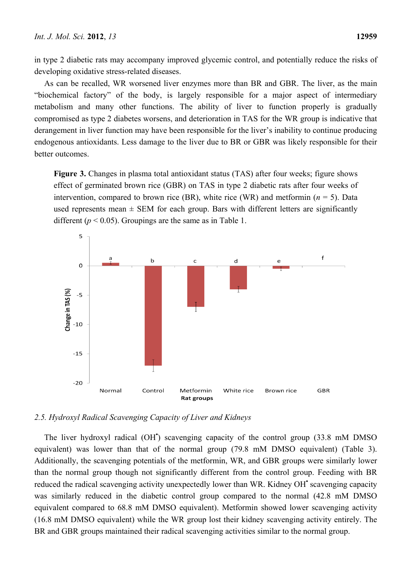in type 2 diabetic rats may accompany improved glycemic control, and potentially reduce the risks of developing oxidative stress-related diseases.

As can be recalled, WR worsened liver enzymes more than BR and GBR. The liver, as the main "biochemical factory" of the body, is largely responsible for a major aspect of intermediary metabolism and many other functions. The ability of liver to function properly is gradually compromised as type 2 diabetes worsens, and deterioration in TAS for the WR group is indicative that derangement in liver function may have been responsible for the liver's inability to continue producing endogenous antioxidants. Less damage to the liver due to BR or GBR was likely responsible for their better outcomes.

**Figure 3.** Changes in plasma total antioxidant status (TAS) after four weeks; figure shows effect of germinated brown rice (GBR) on TAS in type 2 diabetic rats after four weeks of intervention, compared to brown rice (BR), white rice (WR) and metformin ( $n = 5$ ). Data used represents mean  $\pm$  SEM for each group. Bars with different letters are significantly different ( $p < 0.05$ ). Groupings are the same as in Table 1.



#### *2.5. Hydroxyl Radical Scavenging Capacity of Liver and Kidneys*

The liver hydroxyl radical (OH<sup>\*</sup>) scavenging capacity of the control group (33.8 mM DMSO equivalent) was lower than that of the normal group (79.8 mM DMSO equivalent) (Table 3). Additionally, the scavenging potentials of the metformin, WR, and GBR groups were similarly lower than the normal group though not significantly different from the control group. Feeding with BR reduced the radical scavenging activity unexpectedly lower than WR. Kidney OH<sup>•</sup> scavenging capacity was similarly reduced in the diabetic control group compared to the normal (42.8 mM DMSO equivalent compared to 68.8 mM DMSO equivalent). Metformin showed lower scavenging activity (16.8 mM DMSO equivalent) while the WR group lost their kidney scavenging activity entirely. The BR and GBR groups maintained their radical scavenging activities similar to the normal group.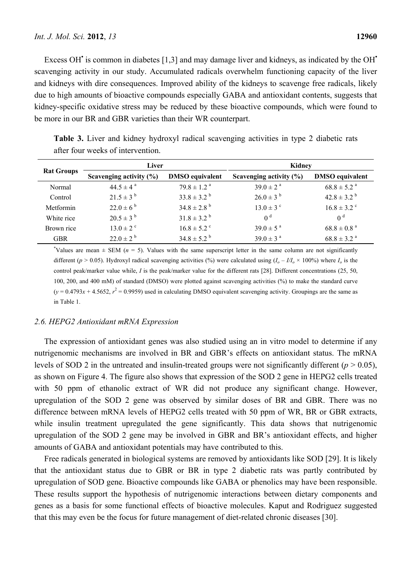Excess OH<sup>\*</sup> is common in diabetes [1,3] and may damage liver and kidneys, as indicated by the OH<sup>\*</sup> scavenging activity in our study. Accumulated radicals overwhelm functioning capacity of the liver and kidneys with dire consequences. Improved ability of the kidneys to scavenge free radicals, likely due to high amounts of bioactive compounds especially GABA and antioxidant contents, suggests that kidney-specific oxidative stress may be reduced by these bioactive compounds, which were found to be more in our BR and GBR varieties than their WR counterpart.

| ance ival weeks of meer vehitom. |                           |                             |                             |                             |  |
|----------------------------------|---------------------------|-----------------------------|-----------------------------|-----------------------------|--|
| <b>Rat Groups</b>                | Liver                     |                             | Kidney                      |                             |  |
|                                  | Scavenging activity (%)   | <b>DMSO</b> equivalent      | Scavenging activity $(\% )$ | <b>DMSO</b> equivalent      |  |
| Normal                           | $44.5 \pm 4^{\circ}$      | $79.8 \pm 1.2$ <sup>a</sup> | $39.0 \pm 2^{a}$            | $68.8 \pm 5.2$ <sup>a</sup> |  |
| Control                          | $21.5 \pm 3^{b}$          | $33.8 \pm 3.2^{b}$          | $26.0 \pm 3^{b}$            | $42.8 \pm 3.2^{\circ}$      |  |
| Metformin                        | $22.0 \pm 6^{b}$          | $34.8 \pm 2.8$ <sup>b</sup> | $13.0 \pm 3$ °              | $16.8 \pm 3.2$ <sup>c</sup> |  |
| White rice                       | $20.5 \pm 3^{b}$          | $31.8 \pm 3.2^{b}$          | 0 <sup>d</sup>              | 0 <sup>d</sup>              |  |
| Brown rice                       | $13.0 \pm 2$ <sup>c</sup> | $16.8 \pm 5.2$ <sup>c</sup> | $39.0 \pm 5^{\text{a}}$     | $68.8 \pm 0.8$ <sup>a</sup> |  |
| <b>GBR</b>                       | $22.0 \pm 2^{b}$          | $34.8 \pm 5.2^{\circ}$      | $39.0 \pm 3^{a}$            | $68.8 \pm 3.2$ <sup>a</sup> |  |

**Table 3.** Liver and kidney hydroxyl radical scavenging activities in type 2 diabetic rats after four weeks of intervention.

\*Values are mean  $\pm$  SEM ( $n = 5$ ). Values with the same superscript letter in the same column are not significantly different ( $p > 0.05$ ). Hydroxyl radical scavenging activities (%) were calculated using ( $I_0 - I/I_0 \times 100\%$ ) where  $I_0$  is the control peak/marker value while, *I* is the peak/marker value for the different rats [28]. Different concentrations (25, 50, 100, 200, and 400 mM) of standard (DMSO) were plotted against scavenging activities (%) to make the standard curve  $(y = 0.4793x + 4.5652, r^2 = 0.9959)$  used in calculating DMSO equivalent scavenging activity. Groupings are the same as in Table 1.

### *2.6. HEPG2 Antioxidant mRNA Expression*

The expression of antioxidant genes was also studied using an in vitro model to determine if any nutrigenomic mechanisms are involved in BR and GBR's effects on antioxidant status. The mRNA levels of SOD 2 in the untreated and insulin-treated groups were not significantly different ( $p > 0.05$ ), as shown on Figure 4. The figure also shows that expression of the SOD 2 gene in HEPG2 cells treated with 50 ppm of ethanolic extract of WR did not produce any significant change. However, upregulation of the SOD 2 gene was observed by similar doses of BR and GBR. There was no difference between mRNA levels of HEPG2 cells treated with 50 ppm of WR, BR or GBR extracts, while insulin treatment upregulated the gene significantly. This data shows that nutrigenomic upregulation of the SOD 2 gene may be involved in GBR and BR's antioxidant effects, and higher amounts of GABA and antioxidant potentials may have contributed to this.

Free radicals generated in biological systems are removed by antioxidants like SOD [29]. It is likely that the antioxidant status due to GBR or BR in type 2 diabetic rats was partly contributed by upregulation of SOD gene. Bioactive compounds like GABA or phenolics may have been responsible. These results support the hypothesis of nutrigenomic interactions between dietary components and genes as a basis for some functional effects of bioactive molecules. Kaput and Rodriguez suggested that this may even be the focus for future management of diet-related chronic diseases [30].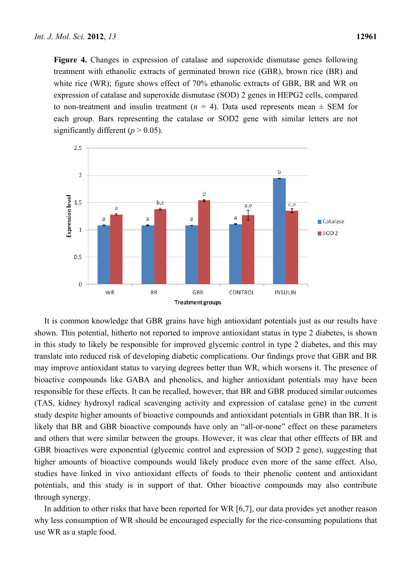**Figure 4.** Changes in expression of catalase and superoxide dismutase genes following treatment with ethanolic extracts of germinated brown rice (GBR), brown rice (BR) and white rice (WR); figure shows effect of 70% ethanolic extracts of GBR, BR and WR on expression of catalase and superoxide dismutase (SOD) 2 genes in HEPG2 cells, compared to non-treatment and insulin treatment  $(n = 4)$ . Data used represents mean  $\pm$  SEM for each group. Bars representing the catalase or SOD2 gene with similar letters are not significantly different  $(p > 0.05)$ .



It is common knowledge that GBR grains have high antioxidant potentials just as our results have shown. This potential, hitherto not reported to improve antioxidant status in type 2 diabetes, is shown in this study to likely be responsible for improved glycemic control in type 2 diabetes, and this may translate into reduced risk of developing diabetic complications. Our findings prove that GBR and BR may improve antioxidant status to varying degrees better than WR, which worsens it. The presence of bioactive compounds like GABA and phenolics, and higher antioxidant potentials may have been responsible for these effects. It can be recalled, however, that BR and GBR produced similar outcomes (TAS, kidney hydroxyl radical scavenging activity and expression of catalase gene) in the current study despite higher amounts of bioactive compounds and antioxidant potentials in GBR than BR. It is likely that BR and GBR bioactive compounds have only an "all-or-none" effect on these parameters and others that were similar between the groups. However, it was clear that other efffects of BR and GBR bioactives were exponential (glycemic control and expression of SOD 2 gene), suggesting that higher amounts of bioactive compounds would likely produce even more of the same effect. Also, studies have linked in vivo antioxidant effects of foods to their phenolic content and antioxidant potentials, and this study is in support of that. Other bioactive compounds may also contribute through synergy.

In addition to other risks that have been reported for WR [6,7], our data provides yet another reason why less consumption of WR should be encouraged especially for the rice-consuming populations that use WR as a staple food.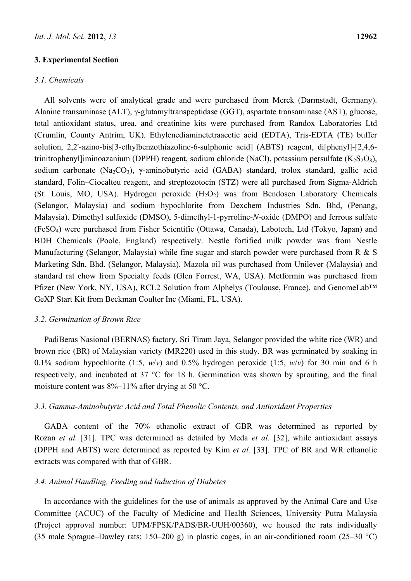#### **3. Experimental Section**

## *3.1. Chemicals*

All solvents were of analytical grade and were purchased from Merck (Darmstadt, Germany). Alanine transaminase (ALT), γ-glutamyltranspeptidase (GGT), aspartate transaminase (AST), glucose, total antioxidant status, urea, and creatinine kits were purchased from Randox Laboratories Ltd (Crumlin, County Antrim, UK). Ethylenediaminetetraacetic acid (EDTA), Tris-EDTA (TE) buffer solution, 2,2'-azino-bis[3-ethylbenzothiazoline-6-sulphonic acid] (ABTS) reagent, di[phenyl]-[2,4,6 trinitrophenyl]iminoazanium (DPPH) reagent, sodium chloride (NaCl), potassium persulfate  $(K_2S_2O_8)$ , sodium carbonate (Na<sub>2</sub>CO<sub>3</sub>), *γ*-aminobutyric acid (GABA) standard, trolox standard, gallic acid standard, Folin–Ciocalteu reagent, and streptozotocin (STZ) were all purchased from Sigma-Aldrich (St. Louis, MO, USA). Hydrogen peroxide  $(H_2O_2)$  was from Bendosen Laboratory Chemicals (Selangor, Malaysia) and sodium hypochlorite from Dexchem Industries Sdn. Bhd, (Penang, Malaysia). Dimethyl sulfoxide (DMSO), 5-dimethyl-1-pyrroline-*N*-oxide (DMPO) and ferrous sulfate (FeSO4) were purchased from Fisher Scientific (Ottawa, Canada), Labotech, Ltd (Tokyo, Japan) and BDH Chemicals (Poole, England) respectively. Nestle fortified milk powder was from Nestle Manufacturing (Selangor, Malaysia) while fine sugar and starch powder were purchased from R & S Marketing Sdn. Bhd. (Selangor, Malaysia). Mazola oil was purchased from Unilever (Malaysia) and standard rat chow from Specialty feeds (Glen Forrest, WA, USA). Metformin was purchased from Pfizer (New York, NY, USA), RCL2 Solution from Alphelys (Toulouse, France), and GenomeLab™ GeXP Start Kit from Beckman Coulter Inc (Miami, FL, USA).

#### *3.2. Germination of Brown Rice*

PadiBeras Nasional (BERNAS) factory, Sri Tiram Jaya, Selangor provided the white rice (WR) and brown rice (BR) of Malaysian variety (MR220) used in this study. BR was germinated by soaking in 0.1% sodium hypochlorite (1:5, *w*/*v*) and 0.5% hydrogen peroxide (1:5, *w*/*v*) for 30 min and 6 h respectively, and incubated at 37 °C for 18 h. Germination was shown by sprouting, and the final moisture content was 8%–11% after drying at 50 °C.

### *3.3. Gamma-Aminobutyric Acid and Total Phenolic Contents, and Antioxidant Properties*

GABA content of the 70% ethanolic extract of GBR was determined as reported by Rozan *et al.* [31]. TPC was determined as detailed by Meda *et al.* [32], while antioxidant assays (DPPH and ABTS) were determined as reported by Kim *et al.* [33]. TPC of BR and WR ethanolic extracts was compared with that of GBR.

#### *3.4. Animal Handling, Feeding and Induction of Diabetes*

In accordance with the guidelines for the use of animals as approved by the Animal Care and Use Committee (ACUC) of the Faculty of Medicine and Health Sciences, University Putra Malaysia (Project approval number: UPM/FPSK/PADS/BR-UUH/00360), we housed the rats individually (35 male Sprague–Dawley rats; 150–200 g) in plastic cages, in an air-conditioned room (25–30 °C)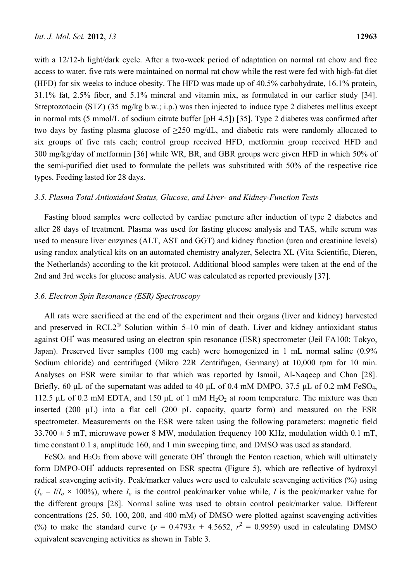with a 12/12-h light/dark cycle. After a two-week period of adaptation on normal rat chow and free access to water, five rats were maintained on normal rat chow while the rest were fed with high-fat diet (HFD) for six weeks to induce obesity. The HFD was made up of 40.5% carbohydrate, 16.1% protein, 31.1% fat, 2.5% fiber, and 5.1% mineral and vitamin mix, as formulated in our earlier study [34]. Streptozotocin (STZ) (35 mg/kg b.w.; i.p.) was then injected to induce type 2 diabetes mellitus except in normal rats (5 mmol/L of sodium citrate buffer [pH 4.5]) [35]. Type 2 diabetes was confirmed after two days by fasting plasma glucose of  $\geq 250$  mg/dL, and diabetic rats were randomly allocated to six groups of five rats each; control group received HFD, metformin group received HFD and 300 mg/kg/day of metformin [36] while WR, BR, and GBR groups were given HFD in which 50% of the semi-purified diet used to formulate the pellets was substituted with 50% of the respective rice types. Feeding lasted for 28 days.

## *3.5. Plasma Total Antioxidant Status, Glucose, and Liver- and Kidney-Function Tests*

Fasting blood samples were collected by cardiac puncture after induction of type 2 diabetes and after 28 days of treatment. Plasma was used for fasting glucose analysis and TAS, while serum was used to measure liver enzymes (ALT, AST and GGT) and kidney function (urea and creatinine levels) using randox analytical kits on an automated chemistry analyzer, Selectra XL (Vita Scientific, Dieren, the Netherlands) according to the kit protocol. Additional blood samples were taken at the end of the 2nd and 3rd weeks for glucose analysis. AUC was calculated as reported previously [37].

## *3.6. Electron Spin Resonance (ESR) Spectroscopy*

All rats were sacrificed at the end of the experiment and their organs (liver and kidney) harvested and preserved in  $RCL2^{\circledR}$  Solution within 5–10 min of death. Liver and kidney antioxidant status against OH<sup>\*</sup> was measured using an electron spin resonance (ESR) spectrometer (Jeil FA100; Tokyo, Japan). Preserved liver samples (100 mg each) were homogenized in 1 mL normal saline (0.9% Sodium chloride) and centrifuged (Mikro 22R Zentrifugen, Germany) at 10,000 rpm for 10 min. Analyses on ESR were similar to that which was reported by Ismail, Al-Naqeep and Chan [28]. Briefly, 60 μL of the supernatant was added to 40 μL of 0.4 mM DMPO, 37.5 μL of 0.2 mM FeSO<sub>4</sub>, 112.5 μL of 0.2 mM EDTA, and 150 μL of 1 mM  $H_2O_2$  at room temperature. The mixture was then inserted (200 μL) into a flat cell (200 pL capacity, quartz form) and measured on the ESR spectrometer. Measurements on the ESR were taken using the following parameters: magnetic field  $33.700 \pm 5$  mT, microwave power 8 MW, modulation frequency 100 KHz, modulation width 0.1 mT, time constant 0.1 s, amplitude 160, and 1 min sweeping time, and DMSO was used as standard.

FeSO<sub>4</sub> and H<sub>2</sub>O<sub>2</sub> from above will generate OH<sup>\*</sup> through the Fenton reaction, which will ultimately form DMPO-OH<sup>•</sup> adducts represented on ESR spectra (Figure 5), which are reflective of hydroxyl radical scavenging activity. Peak/marker values were used to calculate scavenging activities (%) using  $(I_o - I/I_o \times 100\%)$ , where  $I_o$  is the control peak/marker value while, *I* is the peak/marker value for the different groups [28]. Normal saline was used to obtain control peak/marker value. Different concentrations (25, 50, 100, 200, and 400 mM) of DMSO were plotted against scavenging activities (%) to make the standard curve  $(y = 0.4793x + 4.5652, r^2 = 0.9959)$  used in calculating DMSO equivalent scavenging activities as shown in Table 3.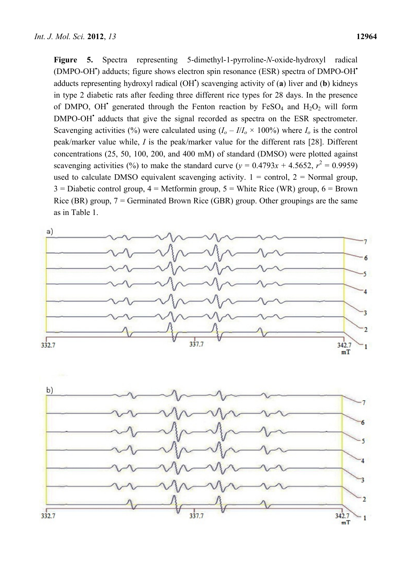**Figure 5.** Spectra representing 5-dimethyl-1-pyrroline-*N*-oxide-hydroxyl radical (DMPO-OH<sup>\*</sup>) adducts; figure shows electron spin resonance (ESR) spectra of DMPO-OH<sup>\*</sup> adducts representing hydroxyl radical (OH**•** ) scavenging activity of (**a**) liver and (**b**) kidneys in type 2 diabetic rats after feeding three different rice types for 28 days. In the presence of DMPO, OH<sup>\*</sup> generated through the Fenton reaction by FeSO<sub>4</sub> and H<sub>2</sub>O<sub>2</sub> will form DMPO-OH<sup>•</sup> adducts that give the signal recorded as spectra on the ESR spectrometer. Scavenging activities (%) were calculated using  $(I_o - I/I_o \times 100\%)$  where  $I_o$  is the control peak/marker value while, *I* is the peak/marker value for the different rats [28]. Different concentrations (25, 50, 100, 200, and 400 mM) of standard (DMSO) were plotted against scavenging activities (%) to make the standard curve ( $y = 0.4793x + 4.5652$ ,  $r^2 = 0.9959$ ) used to calculate DMSO equivalent scavenging activity.  $1 =$  control,  $2 =$  Normal group,  $3 =$  Diabetic control group,  $4 =$  Metformin group,  $5 =$  White Rice (WR) group,  $6 =$  Brown Rice (BR) group,  $7 =$  Germinated Brown Rice (GBR) group. Other groupings are the same as in Table 1.



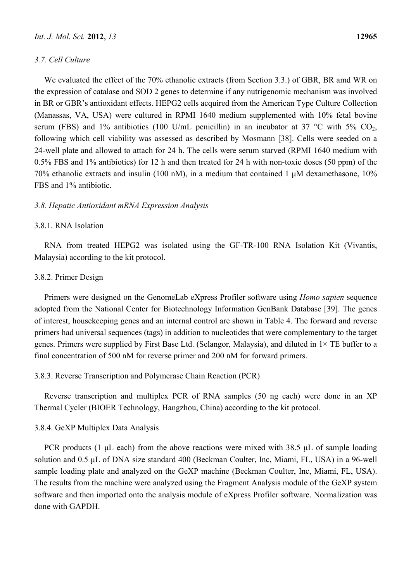## *3.7. Cell Culture*

We evaluated the effect of the 70% ethanolic extracts (from Section 3.3.) of GBR, BR amd WR on the expression of catalase and SOD 2 genes to determine if any nutrigenomic mechanism was involved in BR or GBR's antioxidant effects. HEPG2 cells acquired from the American Type Culture Collection (Manassas, VA, USA) were cultured in RPMI 1640 medium supplemented with 10% fetal bovine serum (FBS) and 1% antibiotics (100 U/mL penicillin) in an incubator at 37 °C with 5% CO<sub>2</sub>, following which cell viability was assessed as described by Mosmann [38]. Cells were seeded on a 24-well plate and allowed to attach for 24 h. The cells were serum starved (RPMI 1640 medium with 0.5% FBS and 1% antibiotics) for 12 h and then treated for 24 h with non-toxic doses (50 ppm) of the 70% ethanolic extracts and insulin (100 nM), in a medium that contained 1 μM dexamethasone, 10% FBS and 1% antibiotic.

## *3.8. Hepatic Antioxidant mRNA Expression Analysis*

## 3.8.1. RNA Isolation

RNA from treated HEPG2 was isolated using the GF-TR-100 RNA Isolation Kit (Vivantis, Malaysia) according to the kit protocol.

## 3.8.2. Primer Design

Primers were designed on the GenomeLab eXpress Profiler software using *Homo sapien* sequence adopted from the National Center for Biotechnology Information GenBank Database [39]. The genes of interest, housekeeping genes and an internal control are shown in Table 4. The forward and reverse primers had universal sequences (tags) in addition to nucleotides that were complementary to the target genes. Primers were supplied by First Base Ltd. (Selangor, Malaysia), and diluted in 1× TE buffer to a final concentration of 500 nM for reverse primer and 200 nM for forward primers.

## 3.8.3. Reverse Transcription and Polymerase Chain Reaction (PCR)

Reverse transcription and multiplex PCR of RNA samples (50 ng each) were done in an XP Thermal Cycler (BIOER Technology, Hangzhou, China) according to the kit protocol.

## 3.8.4. GeXP Multiplex Data Analysis

PCR products (1  $\mu$ L each) from the above reactions were mixed with 38.5  $\mu$ L of sample loading solution and 0.5 μL of DNA size standard 400 (Beckman Coulter, Inc, Miami, FL, USA) in a 96-well sample loading plate and analyzed on the GeXP machine (Beckman Coulter, Inc, Miami, FL, USA). The results from the machine were analyzed using the Fragment Analysis module of the GeXP system software and then imported onto the analysis module of eXpress Profiler software. Normalization was done with GAPDH.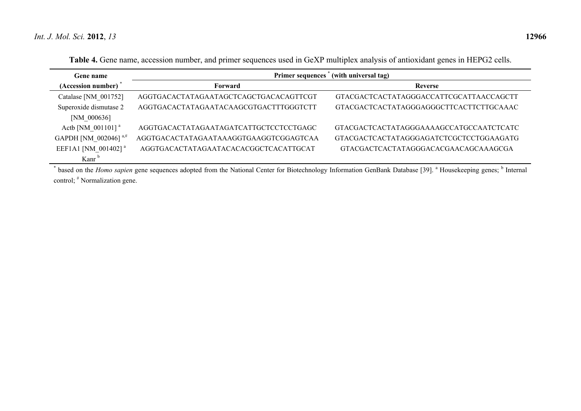| <b>Gene name</b>                | (with universal tag)<br>Primer sequences |                                         |  |
|---------------------------------|------------------------------------------|-----------------------------------------|--|
| (Accession number)              | Forward                                  | <b>Reverse</b>                          |  |
| Catalase [NM 001752]            | AGGTGACACTATAGAATAGCTCAGCTGACACAGTTCGT   | GTACGACTCACTATAGGGACCATTCGCATTAACCAGCTT |  |
| Superoxide dismutase 2          | AGGTGACACTATAGAATACAAGCGTGACTTTGGGTCTT   | GTACGACTCACTATAGGGAGGGCTTCACTTCTTGCAAAC |  |
| $[NM_000636]$                   |                                          |                                         |  |
| Actb [NM 001101] <sup>a</sup>   | AGGTGACACTATAGAATAGATCATTGCTCCTCCTGAGC   | GTACGACTCACTATAGGGAAAAGCCATGCCAATCTCATC |  |
| GAPDH [NM 002046] $a, #$        | AGGTGACACTATAGAATAAAGGTGAAGGTCGGAGTCAA   | GTACGACTCACTATAGGGAGATCTCGCTCCTGGAAGATG |  |
| EEF1A1 [NM 001402] <sup>a</sup> | AGGTGACACTATAGAATACACACGGCTCACATTGCAT    | GTACGACTCACTATAGGGACACGAACAGCAAAGCGA    |  |
| Kanr $\frac{1}{2}$              |                                          |                                         |  |

**Table 4.** Gene name, accession number, and primer sequences used in GeXP multiplex analysis of antioxidant genes in HEPG2 cells.

\* based on the *Homo sapien* gene sequences adopted from the National Center for Biotechnology Information GenBank Database [39]. <sup>a</sup> Housekeeping genes; <sup>b</sup> Internal control; # Normalization gene.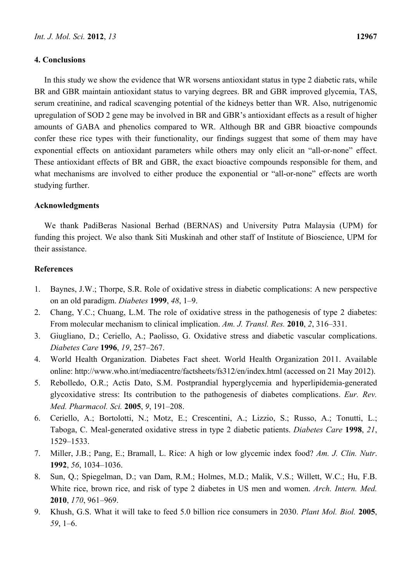## **4. Conclusions**

In this study we show the evidence that WR worsens antioxidant status in type 2 diabetic rats, while BR and GBR maintain antioxidant status to varying degrees. BR and GBR improved glycemia, TAS, serum creatinine, and radical scavenging potential of the kidneys better than WR. Also, nutrigenomic upregulation of SOD 2 gene may be involved in BR and GBR's antioxidant effects as a result of higher amounts of GABA and phenolics compared to WR. Although BR and GBR bioactive compounds confer these rice types with their functionality, our findings suggest that some of them may have exponential effects on antioxidant parameters while others may only elicit an "all-or-none" effect. These antioxidant effects of BR and GBR, the exact bioactive compounds responsible for them, and what mechanisms are involved to either produce the exponential or "all-or-none" effects are worth studying further.

## **Acknowledgments**

We thank PadiBeras Nasional Berhad (BERNAS) and University Putra Malaysia (UPM) for funding this project. We also thank Siti Muskinah and other staff of Institute of Bioscience, UPM for their assistance.

## **References**

- 1. Baynes, J.W.; Thorpe, S.R. Role of oxidative stress in diabetic complications: A new perspective on an old paradigm. *Diabetes* **1999**, *48*, 1–9.
- 2. Chang, Y.C.; Chuang, L.M. The role of oxidative stress in the pathogenesis of type 2 diabetes: From molecular mechanism to clinical implication. *Am. J. Transl. Res.* **2010**, *2*, 316–331.
- 3. Giugliano, D.; Ceriello, A.; Paolisso, G. Oxidative stress and diabetic vascular complications. *Diabetes Care* **1996**, *19*, 257–267.
- 4. World Health Organization. Diabetes Fact sheet. World Health Organization 2011. Available online: http://www.who.int/mediacentre/factsheets/fs312/en/index.html (accessed on 21 May 2012).
- 5. Rebolledo, O.R.; Actis Dato, S.M. Postprandial hyperglycemia and hyperlipidemia-generated glycoxidative stress: Its contribution to the pathogenesis of diabetes complications. *Eur. Rev. Med. Pharmacol. Sci.* **2005**, *9*, 191–208.
- 6. Ceriello, A.; Bortolotti, N.; Motz, E.; Crescentini, A.; Lizzio, S.; Russo, A.; Tonutti, L.; Taboga, C. Meal-generated oxidative stress in type 2 diabetic patients. *Diabetes Care* **1998**, *21*, 1529–1533.
- 7. Miller, J.B.; Pang, E.; Bramall, L. Rice: A high or low glycemic index food? *Am. J. Clin. Nutr*. **1992**, *56*, 1034–1036.
- 8. Sun, Q.; Spiegelman, D.; van Dam, R.M.; Holmes, M.D.; Malik, V.S.; Willett, W.C.; Hu, F.B. White rice, brown rice, and risk of type 2 diabetes in US men and women. *Arch. Intern. Med.* **2010**, *170*, 961–969.
- 9. Khush, G.S. What it will take to feed 5.0 billion rice consumers in 2030. *Plant Mol. Biol.* **2005**, *59*, 1–6.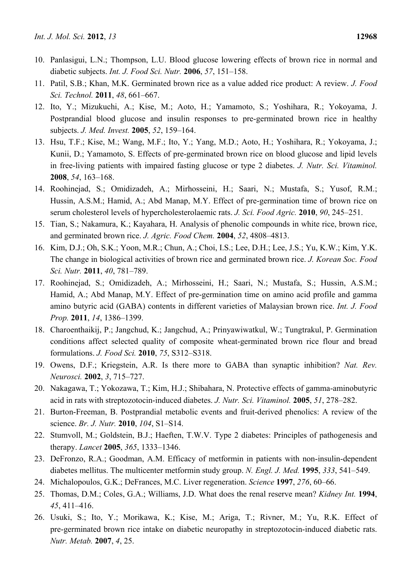- 10. Panlasigui, L.N.; Thompson, L.U. Blood glucose lowering effects of brown rice in normal and diabetic subjects. *Int. J. Food Sci. Nutr.* **2006**, *57*, 151–158.
- 11. Patil, S.B.; Khan, M.K. Germinated brown rice as a value added rice product: A review. *J. Food Sci. Technol.* **2011**, *48*, 661–667.
- 12. Ito, Y.; Mizukuchi, A.; Kise, M.; Aoto, H.; Yamamoto, S.; Yoshihara, R.; Yokoyama, J. Postprandial blood glucose and insulin responses to pre-germinated brown rice in healthy subjects. *J. Med. Invest.* **2005**, *52*, 159–164.
- 13. Hsu, T.F.; Kise, M.; Wang, M.F.; Ito, Y.; Yang, M.D.; Aoto, H.; Yoshihara, R.; Yokoyama, J.; Kunii, D.; Yamamoto, S. Effects of pre-germinated brown rice on blood glucose and lipid levels in free-living patients with impaired fasting glucose or type 2 diabetes. *J. Nutr. Sci. Vitaminol.* **2008**, *54*, 163–168.
- 14. Roohinejad, S.; Omidizadeh, A.; Mirhosseini, H.; Saari, N.; Mustafa, S.; Yusof, R.M.; Hussin, A.S.M.; Hamid, A.; Abd Manap, M.Y. Effect of pre-germination time of brown rice on serum cholesterol levels of hypercholesterolaemic rats. *J. Sci. Food Agric.* **2010**, *90*, 245–251.
- 15. Tian, S.; Nakamura, K.; Kayahara, H. Analysis of phenolic compounds in white rice, brown rice, and germinated brown rice. *J. Agric. Food Chem.* **2004**, *52*, 4808–4813.
- 16. Kim, D.J.; Oh, S.K.; Yoon, M.R.; Chun, A.; Choi, I.S.; Lee, D.H.; Lee, J.S.; Yu, K.W.; Kim, Y.K. The change in biological activities of brown rice and germinated brown rice. *J. Korean Soc. Food Sci. Nutr.* **2011**, *40*, 781–789.
- 17. Roohinejad, S.; Omidizadeh, A.; Mirhosseini, H.; Saari, N.; Mustafa, S.; Hussin, A.S.M.; Hamid, A.; Abd Manap, M.Y. Effect of pre-germination time on amino acid profile and gamma amino butyric acid (GABA) contents in different varieties of Malaysian brown rice. *Int. J. Food Prop.* **2011**, *14*, 1386–1399.
- 18. Charoenthaikij, P.; Jangchud, K.; Jangchud, A.; Prinyawiwatkul, W.; Tungtrakul, P. Germination conditions affect selected quality of composite wheat-germinated brown rice flour and bread formulations. *J. Food Sci.* **2010**, *75*, S312–S318.
- 19. Owens, D.F.; Kriegstein, A.R. Is there more to GABA than synaptic inhibition? *Nat. Rev. Neurosci.* **2002**, *3*, 715–727.
- 20. Nakagawa, T.; Yokozawa, T.; Kim, H.J.; Shibahara, N. Protective effects of gamma-aminobutyric acid in rats with streptozotocin-induced diabetes. *J. Nutr. Sci. Vitaminol.* **2005**, *51*, 278–282.
- 21. Burton-Freeman, B. Postprandial metabolic events and fruit-derived phenolics: A review of the science. *Br. J. Nutr.* **2010**, *104*, S1–S14.
- 22. Stumvoll, M.; Goldstein, B.J.; Haeften, T.W.V. Type 2 diabetes: Principles of pathogenesis and therapy. *Lancet* **2005**, *365*, 1333–1346.
- 23. DeFronzo, R.A.; Goodman, A.M. Efficacy of metformin in patients with non-insulin-dependent diabetes mellitus. The multicenter metformin study group. *N. Engl. J. Med.* **1995**, *333*, 541–549.
- 24. Michalopoulos, G.K.; DeFrances, M.C. Liver regeneration. *Science* **1997**, *276*, 60–66.
- 25. Thomas, D.M.; Coles, G.A.; Williams, J.D. What does the renal reserve mean? *Kidney Int.* **1994**, *45*, 411–416.
- 26. Usuki, S.; Ito, Y.; Morikawa, K.; Kise, M.; Ariga, T.; Rivner, M.; Yu, R.K. Effect of pre-germinated brown rice intake on diabetic neuropathy in streptozotocin-induced diabetic rats. *Nutr. Metab.* **2007**, *4*, 25.